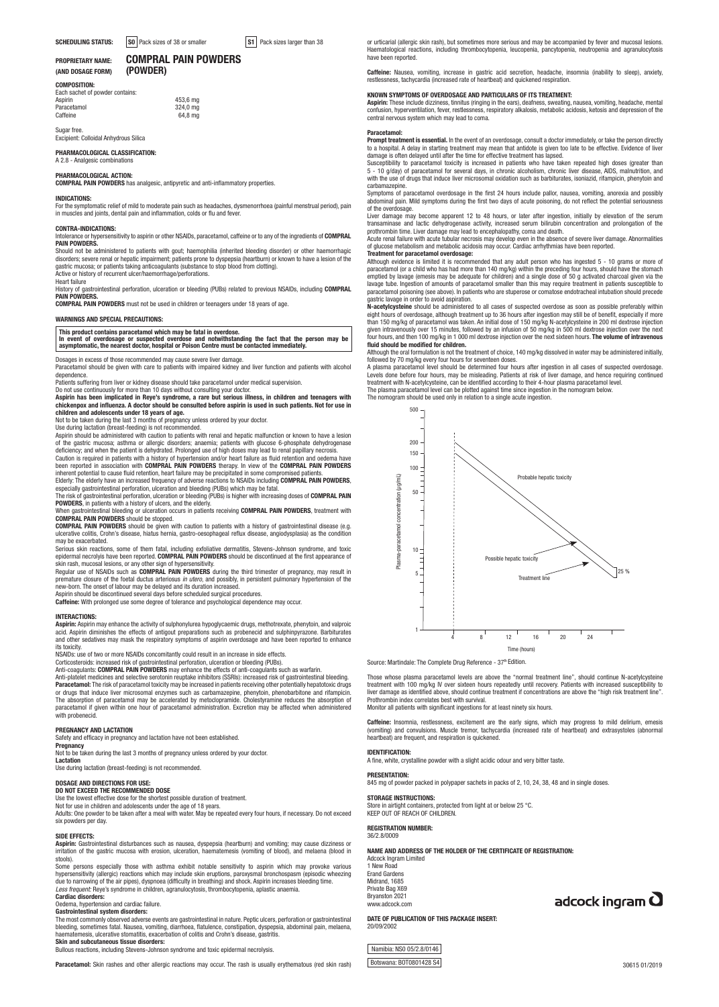### PROPRIETARY NAME: **COMPRAL PAIN POWDERS**<br>(AND DOSAGE FORM) (POWDER) (AND DOSAGE FORM)

COMPOSITION: Each sachet of powder contains<br>Asnirin

Aspirin 453,6 mg Paracetamol 324,0 mg Caffeine 64.8 mg

Sugar free. Excipient: Colloidal Anhydrous Silica

### PHARMACOLOGICAL CLASSIFICATION:

A 2.8 - Analgesic combinations

PHARMACOLOGICAL ACTION: COMPRAL PAIN POWDERS has analgesic, antipyretic and anti-inflammatory properties.

**INDICATIONS:**<br>For the symptomatic relief of mild to moderate pain such as headaches, dysmenorrhoea (painful menstrual period), pain in muscles and joints, dental pain and inflammation, colds or flu and fever.

### CONTRA-INDICATIONS:

Intolerance or hypersensitivity to aspirin or other NSAIDs, paracetamol, caffeine or to any of the ingredients of COMPRAL<br>PAIN POWDERS.

**PAIN POWDERS.**<br>Should not be administered to patients with gout; haemophilia (inherited bleeding disorder) or other haemorrhagic<br>disorders; severe renal or hepatic impairment; patients prone to dyspepsia (heartburn) or kn Active or history of recurrent ulcer/haemorrhage/perforations.

Heart failure<br>History of gastrointestinal perforation, ulceration or bleeding (PUBs) related to previous NSAIDs, including **COMPRAL**<br>PAIN POWDERS.

COMPRAL PAIN POWDERS must not be used in children or teenagers under 18 years of age.

### WARNINGS AND SPECIAL PRECAUTIONS:

This product contains paracetamol which may be fatal in overdose.<br>In event of overdosage or suspected overdose and notwithstanding the fact that the person may be<br>asymptomatic, the nearest doctor, hospital or Poison Centre

Dosages in excess of those recommended may cause severe liver damage.

Paracetamol should be given with care to patients with impaired kidney and liver function and patients with alcohol dependence.

<sub>parag</sub>ents.<br>Patis suffering from liver or kidney disease should take paracetamol under medical supervision.

Do not use continuously for more than 10 days without consulting your doctor.

Aspirin has been implicated in Reye's syndrome, a rare but serious illness, in children and teenagers with chickenpox and influenza. A doctor should be consulted before aspirin is used in such patients. Not for use in children and adolescents under 18 years of age.

Not to be taken during the last 3 months of pregnancy unless ordered by your doctor.<br>Use during lactation (breast-feeding) is not recommended.<br>Aspirin should be administered with caution to patients with renal and hepatic Caution is required in patients with a history of hypertension and/or heart failure as fluid retention and oedema have

been reported in association with **COMPRAL PAIN POWDERS** therapy. In view of the **COMPRAL PAIN POWDERS**<br>inherent potential to cause fluid retention, heart failure may be precipitated in some compromised patients.<br>Elderly:

especially gastrointestinal perforation, ulceration and bleeding (PUBs) which may be fatal.

The risk of gastrointestinal perforation, ulceration or bleeding (PUBs) is higher with increasing doses of **COMPRAL PAIN**<br>**POWDERS,** in patients with a history of ulcers, and the elderly.<br>When gastrointestinal bleeding or

**COMPRAL PAIN POWDERS** should be stopped.<br>**COMPRAL PAIN POWDERS** should be given with caution to patients with a history of gastrointestinal disease (e.g.<br>ulcerative colitis, Crohn's disease, hiatus hernia, gastro-oesophag

may be exacerbated. Serious skin reactions, some of them fatal, including exfoliative dermatitis, Stevens-Johnson syndrome, and toxic epidermal necrolyis have been reported. **COMPRAL PAIN POWDERS** should be discontinued at the first appearance of<br>skin rash, mucosal lesions, or any other sign of hypersensitivity.<br>Regular use of NSAIDs such as **COMPRAL PAI** 

premature closure of the foetal ductus arteriosus *in utero*, and possibly, in persistent pulmonary hypertension of the

new-born. The onset of labour may be delayed and its duration increased.<br>Aspirin should be discontinued several days before scheduled surgical procedures.<br>**Caffeine:** With prolonged use some degree of tolerance and psychol

### INTERACTIONS:

Aspirin: Aspirin may enhance the activity of sulphonylurea hypoglycaemic drugs, methotrexate, phenytoin, and valproic acid. Aspirin diminishes the effects of antigout preparations such as probenecid and sulphinpyrazone. Barbiturates and other sedatives may mask the respiratory symptoms of aspirin overdosage and have been reported to enhance its toxicity. NSAIDs: use of two or more NSAIDs concomitantly could result in an increase in side effects.

Corticosteroids: increased risk of gastrointestinal perforation, ulceration or bleeding (PUBs).<br>Anti-coagulants: C**OMPRAL PAIN POWDERS** may enhance the effects of anti-coagulants such as warfarin.<br>Anti-platelet me**dicines** or drugs that induce liver microsomal enzymes such as carbamazepine, phenytoin, phenobarbitone and rifampicin. The absorption of paracetamol may be accelerated by metoclopramide. Cholestyramine reduces the absorption of<br>paracetamol if given within one hour of paracetamol administration. Excretion may be affected when administered<br>w

#### PREGNANCY AND LACTATION

Safety and efficacy in pregnancy and lactation have not been established.

**Pregnancy** 

Not to be taken during the last 3 months of pregnancy unless ordered by your doctor. Lactation

Use during lactation (breast-feeding) is not recommended.

# DOSAGE AND DIRECTIONS FOR USE: DO NOT EXCEED THE RECOMMENDED DOSE

Use the lowest effective dose for the shortest possible duration of treatment.<br>Not for use in children and adolescents under the age of 18 years.<br>Adults: One powder to be taken after a meal with water. May be repeated ever

six powders per day.

### SIDE EFFECTS:

**Aspirin:** Gastrointestinal disturbances such as nausea, dyspepsia (heartburn) and vomiting; may cause dizziness or<br>irritation of the gastric mucosa with erosion, ulceration, haematemesis (vomiting of blood), and melaena (

stools). Some persons especially those with asthma exhibit notable sensitivity to aspirin which may provoke various hypersensitivity (allergic) reactions which may include skin eruptions, paroxysmal bronchospasm (episodic wheezing<br>due to narrowing of the air pipes), dyspnoea (difficulty in breathing) and shock. Aspirin increases bleedin

#### Cardiac disorders:

Oedema, hypertension and cardiac failure. Gastrointestinal system disorders:

The most commonly observed adverse events are gastrointestinal in nature. Peptic ulcers, perforation or gastrointestinal<br>bleeding, sometimes fatal. Nausea, vomiting, diarrhoea, flatulence, constipation, dyspepsia, abdomina Skin and subcutaneous tissue disorders:

Bullous reactions, including Stevens-Johnson syndrome and toxic epidermal necrolysis.

or urticarial (allergic skin rash), but sometimes more serious and may be accompanied by fever and mucosal lesions.<br>Haematological reactions, including thrombocytopenia, leucopenia, pancytopenia, neutropenia and agranulocy have been reported.

**Caffeine:** Nausea, vomiting, increase in gastric acid secretion, headache, insomnia (inability to sleep), anxiety,<br>restlessness,tachycardia(increased rate of heartbeat) and quickened respiration.

### KNOWN SYMPTOMS OF OVERDOSAGE AND PARTICULARS OF ITS TREATMENT:

**Aspirin:** These include dizziness, tinnitus (ringing in the ears), deafness, sweating, nausea, vomiting, headache, mental<br>confusion, hyperventilation, fever, restlessness, respiratory alkalosis, metabolic acidosis, ketosi

**Paracetamol:**<br>**Prompt treatment is essential.** In the event of an overdosage, consult a doctor immediately, or take the person directly<br>to a hospital. A delay in starting treatment may mean that antidote is given too late damage is often delayed until after the time for effective treatment has lapsed.

Susceptibility to paracetamol toxicity is increased in patients who have taken repeated high doses (greater than<br>5 - 10 g/day) of paracetamol for several days, in chronic alcoholism, chronic liver disease, AIDS, malnutriti carbamazepine.

Symptoms of paracetamol overdosage in the first 24 hours include pallor, nausea, vomiting, anorexia and possibly<br>abdominal pain. Mild symptoms during the first two days of acute poisoning, do not reflect the potential seri of the overdosage.

Liver damage may become apparent 12 to 48 hours, or later after ingestion, initially by elevation of the serum transaminase and lactic dehydrogenase activity, increased serum bilirubin concentration and prolongation of the<br>prothrombin time. Liver damage may lead to encephalopathy, coma and death.<br>Acute renal failure with acute tubu

of glucose metabolism and metabolic acidosis may occur. Cardiac arrhythmias have been reported.

# **Treatment for paracetamol overdosage:**<br>Although evidence is limited it is recommended that any adult person who has ingested 5 - 10 grams or more of<br>paracetamol (or a child who has had more than 140 mg/kg) within the prec emptied by lavage (emesis may be adequate for children) and a single dose of 50 g activated charcoal given via the<br>lavage tube. Ingestion of amounts of paracetamol smaller than this may require treatment in patients suscep gastric lavage in order to avoid aspiration.

N-acetylcysteine should be administered to all cases of suspected overdose as soon as possible preferably within eight hours of overdosage, although treatment up to 36 hours after ingestion may still be of benefit, especially if more<br>than 150 mg/kg of paracetamol was taken. An initial dose of 150 mg/kg N-acetylcysteine in 200 ml dext four hours, and then 100 mg/kg in 1 000 ml dextrose injection over the next sixteen hours. The volume of intravenous<br>fluid should be modified for children.

**fluid should be modified for children.**<br>Although the oral formulation is not the treatment of choice, 140 mg/kg dissolved in water may be administered initially, followed by 70 mg/kg every four hours for seventeen doses.

A plasma paracetamol level should be determined four hours after ingestion in all cases of suspected overdosage. Levels done before four hours, may be misleading. Patients at risk of liver damage, and hence requiring continued<br>treatment with N-acetylcysteine, can be identified according to their 4-hour plasma paracetamol level.<br>The p



Source: Martindale: The Complete Drug Reference - 37<sup>th</sup> Edition

Those whose plasma paracetamol levels are above the "normal treatment line", should continue N-acetylcysteine<br>treatment with 100 mg/kg IV over sixteen hours repeatedly until recovery. Patients with increased susceptibility Prothrombin index correlates best with survival.

Monitor all patients with significant ingestions for at least ninety six hours.

Caffeine: Insomnia, restlessness, excitement are the early signs, which may progress to mild delirium, emesis (vomiting) and convulsions. Muscle tremor, tachycardia (increased rate of heartbeat) and extrasystoles (abnormal heartbeat) are frequent, and respiration is quickened.

#### IDENTIFICATION:

A fine, white, crystalline powder with a slight acidic odour and very bitter taste.

#### PRESENTATION:

845 mg of powder packed in polypaper sachets in packs of 2, 10, 24, 38, 48 and in single doses.

STORAGE INSTRUCTIONS: Store in airtight containers, protected from light at or below 25 °C. KEEP OUT OF REACH OF CHILDREN.

### REGISTRATION NUMBER:

36/2.8/0009

20/09/2002

### NAME AND ADDRESS OF THE HOLDER OF THE CERTIFICATE OF REGISTRATION:

Adcock Ingram Limited 1 New Road Erand Gardens

## Private Bag X69 Bryanston 2021 www.adcock.com

DATE OF PUBLICATION OF THIS PACKAGE INSERT:

adcock ingram  $\mathbf 0$ 

Botswana: BOT0801428 S4

Namibia: NS0 05/2.8/0146

# Midrand, 1685